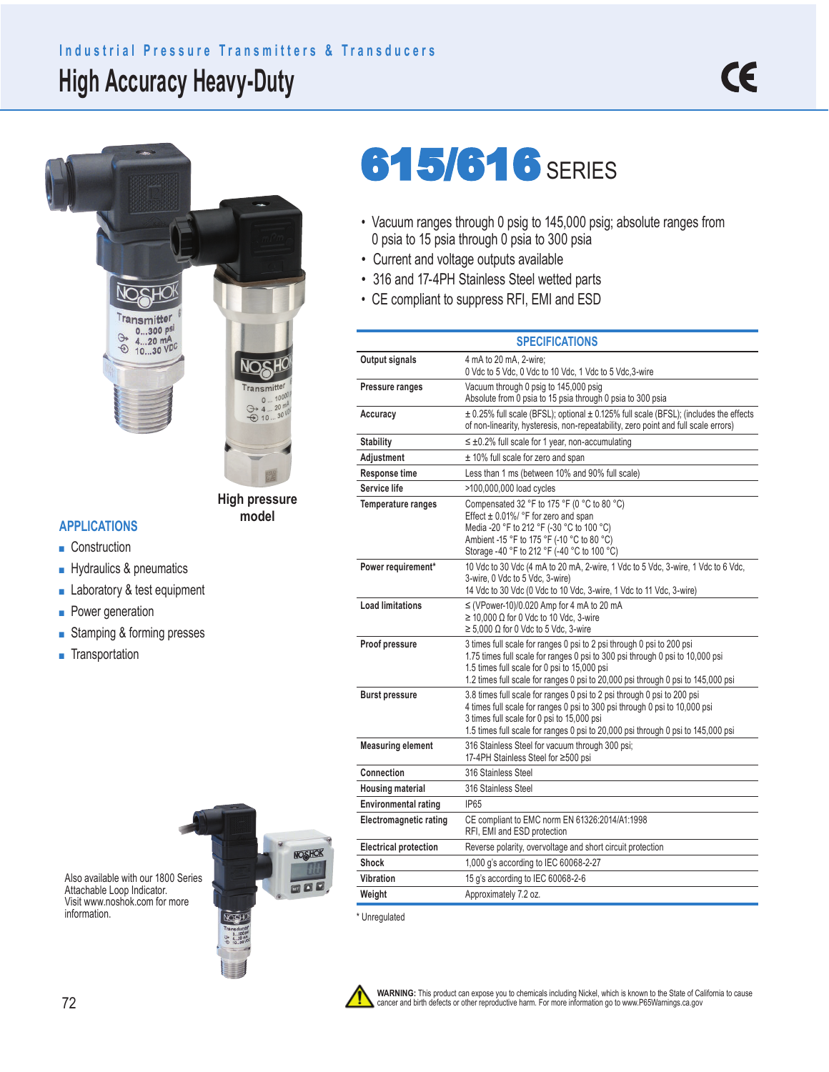## **High Accuracy Heavy-Duty Industrial Pressure Transmitters & Transducers**



**High pressure model**

## **APPLICATIONS**

- Construction
- Hydraulics & pneumatics
- Laboratory & test equipment
- Power generation
- Stamping & forming presses
- Transportation



 Also available with our 1800 Series Attachable Loop Indicator. Visit www.noshok.com for more

\* Unregulated



**WARNING:** This product can expose you to chemicals including Nickel, which is known to the State of California to cause<br>cancer and birth defects or other reproductive harm. For more information go to www.P65Warnings.ca.go

## **615/616 SERIES**

- Vacuum ranges through 0 psig to 145,000 psig; absolute ranges from 0 psia to 15 psia through 0 psia to 300 psia
- Current and voltage outputs available
- 316 and 17-4PH Stainless Steel wetted parts
- CE compliant to suppress RFI, EMI and ESD

|                              | <b>SPECIFICATIONS</b>                                                                                                                                                               |  |  |  |  |  |  |  |  |
|------------------------------|-------------------------------------------------------------------------------------------------------------------------------------------------------------------------------------|--|--|--|--|--|--|--|--|
| Output signals               | 4 mA to 20 mA, 2-wire:                                                                                                                                                              |  |  |  |  |  |  |  |  |
|                              | 0 Vdc to 5 Vdc, 0 Vdc to 10 Vdc, 1 Vdc to 5 Vdc, 3-wire                                                                                                                             |  |  |  |  |  |  |  |  |
| Pressure ranges              | Vacuum through 0 psig to 145,000 psig                                                                                                                                               |  |  |  |  |  |  |  |  |
|                              | Absolute from 0 psia to 15 psia through 0 psia to 300 psia                                                                                                                          |  |  |  |  |  |  |  |  |
| Accuracy                     | $\pm$ 0.25% full scale (BFSL); optional $\pm$ 0.125% full scale (BFSL); (includes the effects<br>of non-linearity, hysteresis, non-repeatability, zero point and full scale errors) |  |  |  |  |  |  |  |  |
| Stability                    | $\leq \pm 0.2\%$ full scale for 1 year, non-accumulating                                                                                                                            |  |  |  |  |  |  |  |  |
| Adjustment                   | $±$ 10% full scale for zero and span                                                                                                                                                |  |  |  |  |  |  |  |  |
| Response time                | Less than 1 ms (between 10% and 90% full scale)                                                                                                                                     |  |  |  |  |  |  |  |  |
| Service life                 | >100,000,000 load cycles                                                                                                                                                            |  |  |  |  |  |  |  |  |
| Temperature ranges           | Compensated 32 °F to 175 °F (0 °C to 80 °C)                                                                                                                                         |  |  |  |  |  |  |  |  |
|                              | Effect $\pm$ 0.01%/ °F for zero and span                                                                                                                                            |  |  |  |  |  |  |  |  |
|                              | Media -20 °F to 212 °F (-30 °C to 100 °C)<br>Ambient -15 °F to 175 °F (-10 °C to 80 °C)                                                                                             |  |  |  |  |  |  |  |  |
|                              | Storage -40 °F to 212 °F (-40 °C to 100 °C)                                                                                                                                         |  |  |  |  |  |  |  |  |
| Power requirement*           | 10 Vdc to 30 Vdc (4 mA to 20 mA, 2-wire, 1 Vdc to 5 Vdc, 3-wire, 1 Vdc to 6 Vdc,                                                                                                    |  |  |  |  |  |  |  |  |
|                              | 3-wire, 0 Vdc to 5 Vdc, 3-wire)                                                                                                                                                     |  |  |  |  |  |  |  |  |
|                              | 14 Vdc to 30 Vdc (0 Vdc to 10 Vdc, 3-wire, 1 Vdc to 11 Vdc, 3-wire)                                                                                                                 |  |  |  |  |  |  |  |  |
| <b>Load limitations</b>      | $\leq$ (VPower-10)/0.020 Amp for 4 mA to 20 mA                                                                                                                                      |  |  |  |  |  |  |  |  |
|                              | $\geq$ 10,000 Ω for 0 Vdc to 10 Vdc, 3-wire                                                                                                                                         |  |  |  |  |  |  |  |  |
|                              | $\geq 5,000 \Omega$ for 0 Vdc to 5 Vdc, 3-wire                                                                                                                                      |  |  |  |  |  |  |  |  |
| Proof pressure               | 3 times full scale for ranges 0 psi to 2 psi through 0 psi to 200 psi                                                                                                               |  |  |  |  |  |  |  |  |
|                              | 1.75 times full scale for ranges 0 psi to 300 psi through 0 psi to 10,000 psi<br>1.5 times full scale for 0 psi to 15,000 psi                                                       |  |  |  |  |  |  |  |  |
|                              | 1.2 times full scale for ranges 0 psi to 20,000 psi through 0 psi to 145,000 psi                                                                                                    |  |  |  |  |  |  |  |  |
| Burst pressure               | 3.8 times full scale for ranges 0 psi to 2 psi through 0 psi to 200 psi                                                                                                             |  |  |  |  |  |  |  |  |
|                              | 4 times full scale for ranges 0 psi to 300 psi through 0 psi to 10,000 psi                                                                                                          |  |  |  |  |  |  |  |  |
|                              | 3 times full scale for 0 psi to 15,000 psi                                                                                                                                          |  |  |  |  |  |  |  |  |
|                              | 1.5 times full scale for ranges 0 psi to 20,000 psi through 0 psi to 145,000 psi                                                                                                    |  |  |  |  |  |  |  |  |
| <b>Measuring element</b>     | 316 Stainless Steel for vacuum through 300 psi;<br>17-4PH Stainless Steel for ≥500 psi                                                                                              |  |  |  |  |  |  |  |  |
| Connection                   | 316 Stainless Steel                                                                                                                                                                 |  |  |  |  |  |  |  |  |
| Housing material             | 316 Stainless Steel                                                                                                                                                                 |  |  |  |  |  |  |  |  |
| <b>Environmental rating</b>  | <b>IP65</b>                                                                                                                                                                         |  |  |  |  |  |  |  |  |
| Electromagnetic rating       | CE compliant to EMC norm EN 61326:2014/A1:1998                                                                                                                                      |  |  |  |  |  |  |  |  |
|                              | RFI, EMI and ESD protection                                                                                                                                                         |  |  |  |  |  |  |  |  |
| <b>Electrical protection</b> | Reverse polarity, overvoltage and short circuit protection                                                                                                                          |  |  |  |  |  |  |  |  |
| Shock                        | 1,000 g's according to IEC 60068-2-27                                                                                                                                               |  |  |  |  |  |  |  |  |
| Vibration                    | 15 g's according to IEC 60068-2-6                                                                                                                                                   |  |  |  |  |  |  |  |  |
| Weight                       | Approximately 7.2 oz.                                                                                                                                                               |  |  |  |  |  |  |  |  |